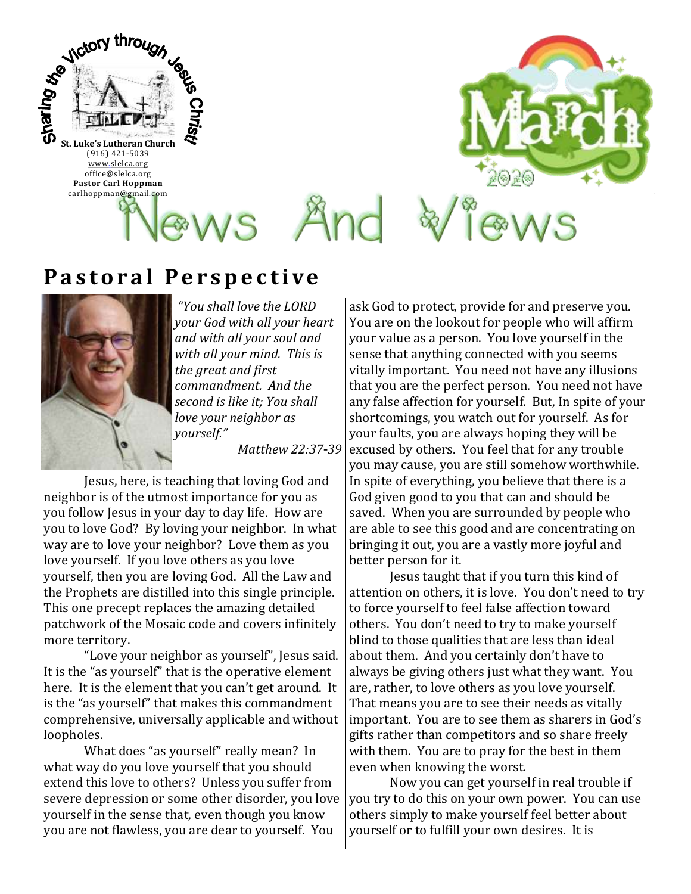

## **Pastoral Perspective**



*"You shall love the LORD your God with all your heart and with all your soul and with all your mind. This is the great and first commandment. And the second is like it; You shall love your neighbor as yourself."*

*Matthew 22:37-39*

Jesus, here, is teaching that loving God and neighbor is of the utmost importance for you as you follow Jesus in your day to day life. How are you to love God? By loving your neighbor. In what way are to love your neighbor? Love them as you love yourself. If you love others as you love yourself, then you are loving God. All the Law and the Prophets are distilled into this single principle. This one precept replaces the amazing detailed patchwork of the Mosaic code and covers infinitely more territory.

"Love your neighbor as yourself", Jesus said. It is the "as yourself" that is the operative element here. It is the element that you can't get around. It is the "as yourself" that makes this commandment comprehensive, universally applicable and without loopholes.

What does "as yourself" really mean? In what way do you love yourself that you should extend this love to others? Unless you suffer from severe depression or some other disorder, you love yourself in the sense that, even though you know you are not flawless, you are dear to yourself. You

ask God to protect, provide for and preserve you. You are on the lookout for people who will affirm your value as a person. You love yourself in the sense that anything connected with you seems vitally important. You need not have any illusions that you are the perfect person. You need not have any false affection for yourself. But, In spite of your shortcomings, you watch out for yourself. As for your faults, you are always hoping they will be excused by others. You feel that for any trouble you may cause, you are still somehow worthwhile. In spite of everything, you believe that there is a God given good to you that can and should be saved. When you are surrounded by people who are able to see this good and are concentrating on bringing it out, you are a vastly more joyful and better person for it.

Jesus taught that if you turn this kind of attention on others, it is love. You don't need to try to force yourself to feel false affection toward others. You don't need to try to make yourself blind to those qualities that are less than ideal about them. And you certainly don't have to always be giving others just what they want. You are, rather, to love others as you love yourself. That means you are to see their needs as vitally important. You are to see them as sharers in God's gifts rather than competitors and so share freely with them. You are to pray for the best in them even when knowing the worst.

Now you can get yourself in real trouble if you try to do this on your own power. You can use others simply to make yourself feel better about yourself or to fulfill your own desires. It is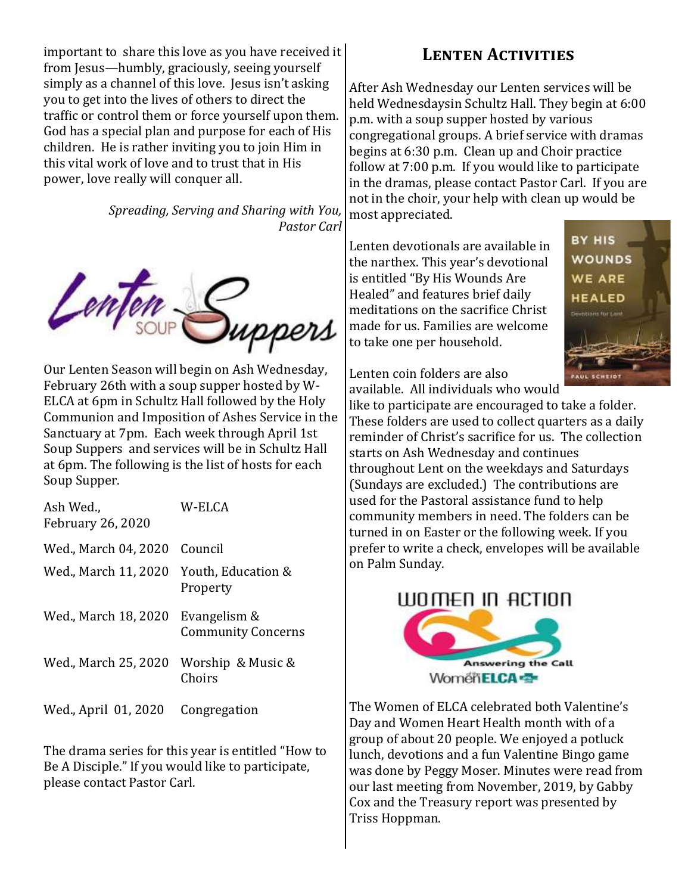important to share this love as you have received it from Jesus—humbly, graciously, seeing yourself simply as a channel of this love. Jesus isn't asking you to get into the lives of others to direct the traffic or control them or force yourself upon them. God has a special plan and purpose for each of His children. He is rather inviting you to join Him in this vital work of love and to trust that in His power, love really will conquer all.

> *Spreading, Serving and Sharing with You, Pastor Carl*



Our Lenten Season will begin on Ash Wednesday, February 26th with a soup supper hosted by W-ELCA at 6pm in Schultz Hall followed by the Holy Communion and Imposition of Ashes Service in the Sanctuary at 7pm. Each week through April 1st Soup Suppers and services will be in Schultz Hall at 6pm. The following is the list of hosts for each Soup Supper.

| Ash Wed.,<br><b>February 26, 2020</b> | W-ELCA                                    |
|---------------------------------------|-------------------------------------------|
| Wed., March 04, 2020                  | Council                                   |
| Wed., March 11, 2020                  | Youth, Education &<br>Property            |
| Wed., March 18, 2020                  | Evangelism &<br><b>Community Concerns</b> |
| Wed., March 25, 2020                  | Worship & Music &<br>Choirs               |
| Wed., April 01, 2020                  | Congregation                              |

The drama series for this year is entitled "How to Be A Disciple." If you would like to participate, please contact Pastor Carl.

## **Lenten Activities**

After Ash Wednesday our Lenten services will be held Wednesdaysin Schultz Hall. They begin at 6:00 p.m. with a soup supper hosted by various congregational groups. A brief service with dramas begins at 6:30 p.m. Clean up and Choir practice follow at 7:00 p.m. If you would like to participate in the dramas, please contact Pastor Carl. If you are not in the choir, your help with clean up would be most appreciated.

Lenten devotionals are available in the narthex. This year's devotional is entitled "By His Wounds Are Healed" and features brief daily meditations on the sacrifice Christ made for us. Families are welcome to take one per household.



Lenten coin folders are also

available. All individuals who would like to participate are encouraged to take a folder. These folders are used to collect quarters as a daily reminder of Christ's sacrifice for us. The collection starts on Ash Wednesday and continues throughout Lent on the weekdays and Saturdays (Sundays are excluded.) The contributions are used for the Pastoral assistance fund to help community members in need. The folders can be turned in on Easter or the following week. If you prefer to write a check, envelopes will be available on Palm Sunday.



The Women of ELCA celebrated both Valentine's Day and Women Heart Health month with of a group of about 20 people. We enjoyed a potluck lunch, devotions and a fun Valentine Bingo game was done by Peggy Moser. Minutes were read from our last meeting from November, 2019, by Gabby Cox and the Treasury report was presented by Triss Hoppman.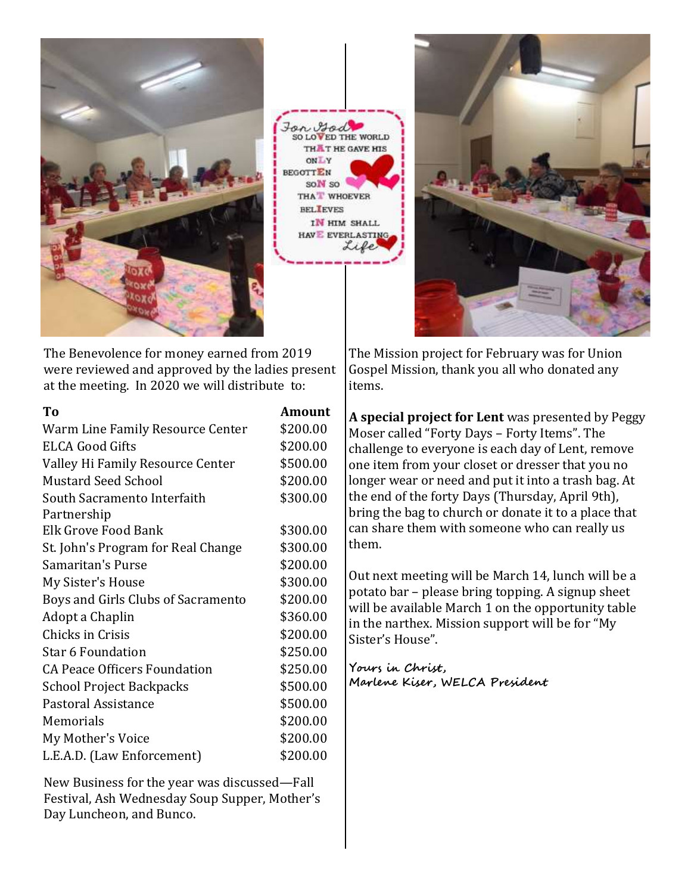

For God SO LOVED THE WORLD THAT HE GAVE HIS  $V$ . Tro **EGOTTEN** SON SO THA<sup>T</sup> WHOEVER **BELIEVES** IN HIM SHALL HAV EVERLASTING Life



The Benevolence for money earned from 2019 were reviewed and approved by the ladies present at the meeting. In 2020 we will distribute to:

| T <sub>0</sub>                      | <b>Amount</b> |
|-------------------------------------|---------------|
| Warm Line Family Resource Center    | \$200.00      |
| <b>ELCA Good Gifts</b>              | \$200.00      |
| Valley Hi Family Resource Center    | \$500.00      |
| <b>Mustard Seed School</b>          | \$200.00      |
| South Sacramento Interfaith         | \$300.00      |
| Partnership                         |               |
| Elk Grove Food Bank                 | \$300.00      |
| St. John's Program for Real Change  | \$300.00      |
| Samaritan's Purse                   | \$200.00      |
| My Sister's House                   | \$300.00      |
| Boys and Girls Clubs of Sacramento  | \$200.00      |
| Adopt a Chaplin                     | \$360.00      |
| Chicks in Crisis                    | \$200.00      |
| Star 6 Foundation                   | \$250.00      |
| <b>CA Peace Officers Foundation</b> | \$250.00      |
| <b>School Project Backpacks</b>     | \$500.00      |
| Pastoral Assistance                 | \$500.00      |
| Memorials                           | \$200.00      |
| My Mother's Voice                   | \$200.00      |
| L.E.A.D. (Law Enforcement)          | \$200.00      |

New Business for the year was discussed—Fall Festival, Ash Wednesday Soup Supper, Mother's Day Luncheon, and Bunco.

The Mission project for February was for Union Gospel Mission, thank you all who donated any items.

**A special project for Lent** was presented by Peggy Moser called "Forty Days – Forty Items". The challenge to everyone is each day of Lent, remove one item from your closet or dresser that you no longer wear or need and put it into a trash bag. At the end of the forty Days (Thursday, April 9th), bring the bag to church or donate it to a place that can share them with someone who can really us them.

Out next meeting will be March 14, lunch will be a potato bar – please bring topping. A signup sheet will be available March 1 on the opportunity table in the narthex. Mission support will be for "My Sister's House".

**Yours in Christ, Marlene Kiser, WELCA President**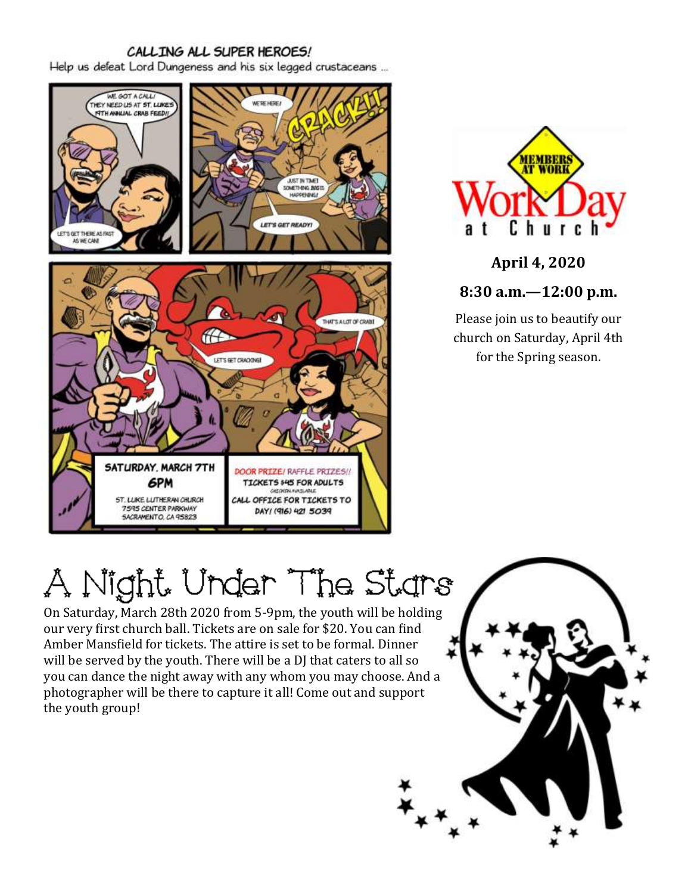### CALLING ALL SUPER HEROES!

Help us defeat Lord Dungeness and his six legged crustaceans ...





**April 4, 2020**

**8:30 a.m.—12:00 p.m.**

Please join us to beautify our church on Saturday, April 4th for the Spring season.

# A Night Under The Stars

On Saturday, March 28th 2020 from 5-9pm, the youth will be holding our very first church ball. Tickets are on sale for \$20. You can find Amber Mansfield for tickets. The attire is set to be formal. Dinner will be served by the youth. There will be a DJ that caters to all so you can dance the night away with any whom you may choose. And a photographer will be there to capture it all! Come out and support the youth group!

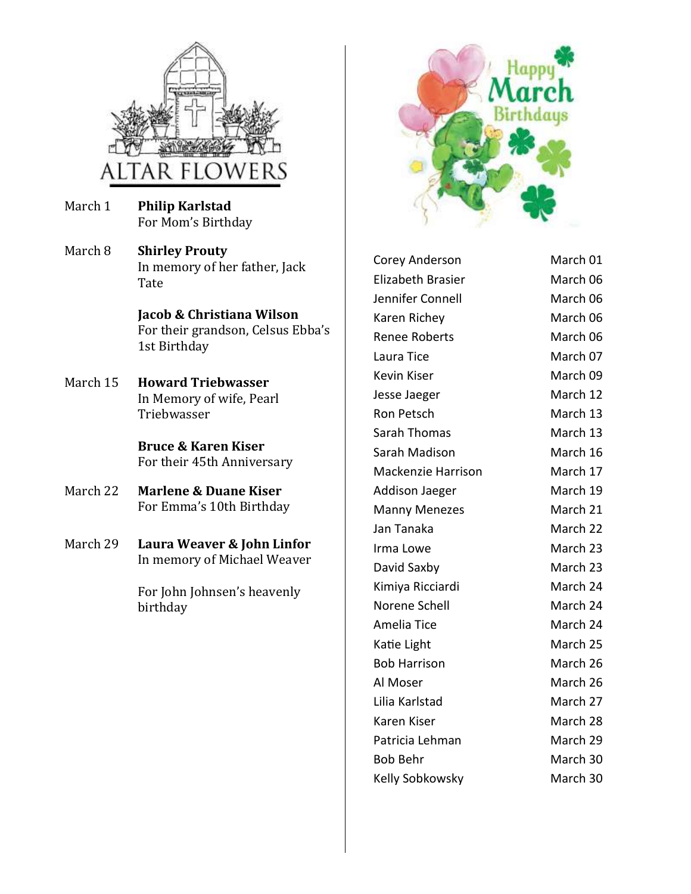

- March 1 **Philip Karlstad** For Mom's Birthday
- March 8 **Shirley Prouty** In memory of her father, Jack Tate

**Jacob & Christiana Wilson** For their grandson, Celsus Ebba's 1st Birthday

March 15 **Howard Triebwasser** In Memory of wife, Pearl Triebwasser

> **Bruce & Karen Kiser** For their 45th Anniversary

- March 22 **Marlene & Duane Kiser** For Emma's 10th Birthday
- March 29 **Laura Weaver & John Linfor** In memory of Michael Weaver

For John Johnsen's heavenly birthday



Corey Anderson March 01 Elizabeth Brasier March 06 Jennifer Connell March 06 Karen Richey March 06 Renee Roberts March 06 Laura Tice March 07 Kevin Kiser **March 09** Jesse Jaeger March 12 Ron Petsch March 13 Sarah Thomas March 13 Sarah Madison March 16 Mackenzie Harrison March 17 Addison Jaeger March 19 Manny Menezes March 21 Jan Tanaka March 22 Irma Lowe March 23 David Saxby March 23 Kimiya Ricciardi March 24 Norene Schell March 24 Amelia Tice March 24 Katie Light March 25 Bob Harrison March 26 Al Moser March 26 Lilia Karlstad March 27 Karen Kiser **March 28** Patricia Lehman March 29 Bob Behr March 30 Kelly Sobkowsky March 30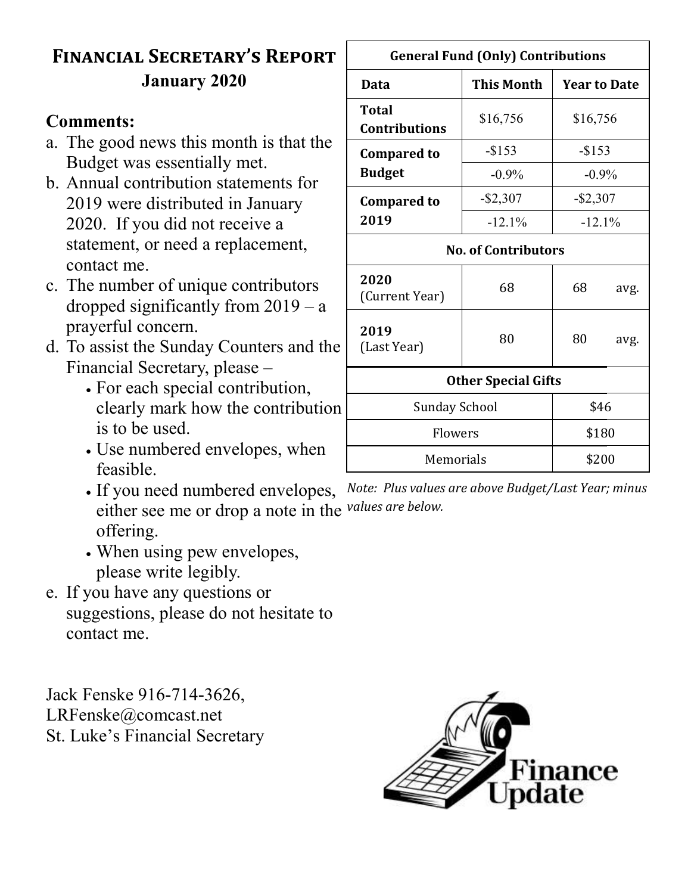# **Financial Secretary's Report January 2020**

## **Comments:**

- a. The good news this month is that the Budget was essentially met.
- b. Annual contribution statements for 2019 were distributed in January 2020. If you did not receive a statement, or need a replacement, contact me.
- c. The number of unique contributors dropped significantly from  $2019 - a$ prayerful concern.
- d. To assist the Sunday Counters and the Financial Secretary, please –
	- For each special contribution, clearly mark how the contribution is to be used.
	- Use numbered envelopes, when feasible.
	- If you need numbered envelopes, either see me or drop a note in the *values are below.* offering.
	- When using pew envelopes, please write legibly.
- e. If you have any questions or suggestions, please do not hesitate to contact me.

Jack Fenske 916-714-3626, LRFenske@comcast.net St. Luke's Financial Secretary



| <b>General Fund (Only) Contributions</b> |                   |                     |      |
|------------------------------------------|-------------------|---------------------|------|
| Data                                     | <b>This Month</b> | <b>Year to Date</b> |      |
| Total<br><b>Contributions</b>            | \$16,756          | \$16,756            |      |
| <b>Compared to</b>                       | $-$ \$153         | $-$ \$153           |      |
| <b>Budget</b>                            | $-0.9\%$          | $-0.9\%$            |      |
| <b>Compared to</b>                       | $-$ \$2,307       | $-$ \$2,307         |      |
| 2019                                     | $-12.1\%$         | $-12.1\%$           |      |
| <b>No. of Contributors</b>               |                   |                     |      |
| 2020<br>(Current Year)                   | 68                | 68                  | avg. |
| 2019<br>(Last Year)                      | 80                | 80                  | avg. |
| <b>Other Special Gifts</b>               |                   |                     |      |
| Sunday School<br>\$46                    |                   |                     |      |

# *Note: Plus values are above Budget/Last Year; minus*

Flowers 1 \$180

Memorials 1 \$200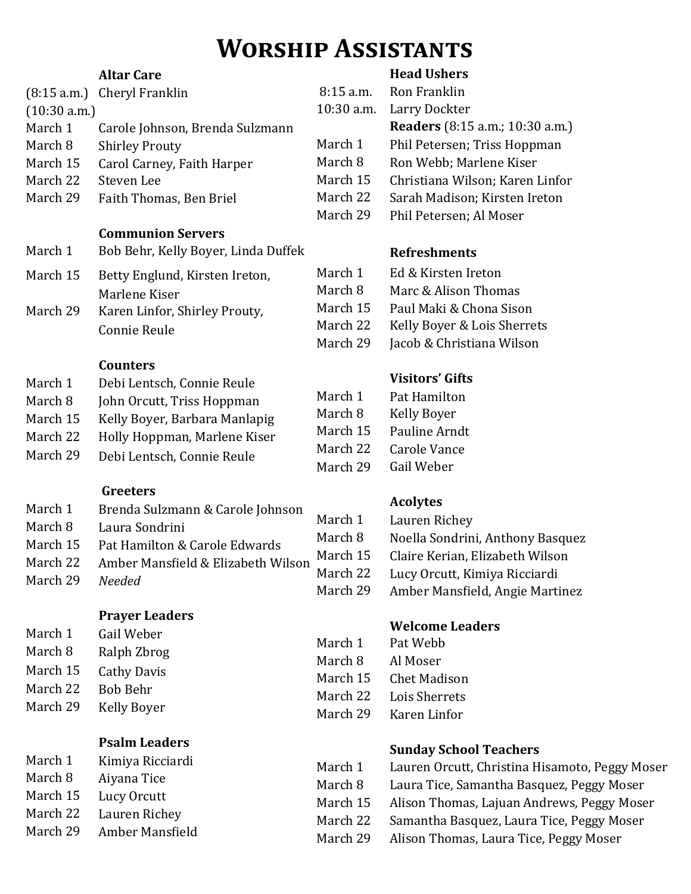# **Worship Assistants**

### **Altar Care**

#### (8:15 a.m.) Cheryl Franklin (10:30 a.m.) March 1 Carole Johnson, Brenda Sulzmann March 8 Shirley Prouty March 15 Carol Carney, Faith Harper March 22 Steven Lee March 29 Faith Thomas, Ben Briel **Communion Servers** March 1 Bob Behr, Kelly Boyer, Linda Duffek March 15 Betty Englund, Kirsten Ireton, Marlene Kiser March 29 Karen Linfor, Shirley Prouty, Connie Reule **Counters** March 1 Debi Lentsch, Connie Reule March 8 John Orcutt, Triss Hoppman March 15 Kelly Boyer, Barbara Manlapig March 22 Holly Hoppman, Marlene Kiser 10:30 a.m. Larry Dockter March 8 Ron Webb; Marlene Kiser March 29 Phil Petersen; Al Moser **Refreshments** March 1 Ed & Kirsten Ireton March 8 Marc & Alison Thomas March 15 Paul Maki & Chona Sison March 22 Kelly Boyer & Lois Sherrets March 29 Jacob & Christiana Wilson **Visitors' Gifts** March 1 Pat Hamilton  $Ma$ March 15 Pauline Arndt

March 29 Debi Lentsch, Connie Reule

## **Greeters**

| March 1  | Brenda Sulzmann & Carole Johnson   |          | <b>Acolyte</b> |
|----------|------------------------------------|----------|----------------|
| March 8  | Laura Sondrini                     | March 1  | Lauren         |
| March 15 |                                    | March 8  | Noella:        |
|          | Pat Hamilton & Carole Edwards      | March 15 | Claire F       |
| March 22 | Amber Mansfield & Elizabeth Wilson | March 22 | Lucy Of        |
| March 29 | <b>Needed</b>                      | March 29 | Amber          |

## **Prayer Leaders**

| March 1  | Gail Weber         |
|----------|--------------------|
| March 8  | Ralph Zbrog        |
| March 15 | <b>Cathy Davis</b> |
| March 22 | <b>Bob Behr</b>    |
| March 29 | Kelly Boyer        |

## **Psalm Leaders**

| Kimiya Ricciardi |
|------------------|
| Aiyana Tice      |
| Lucy Orcutt      |
| Lauren Richey    |
| Amber Mansfield  |
|                  |

## **Head Ushers**

|            | 8:15 a.m. Ron Franklin          |
|------------|---------------------------------|
| 10:30 a.m. | Larry Dockter                   |
|            | Readers (8:15 a.m.; 10:30 a.m.) |
| March 1    | Phil Petersen; Triss Hoppman    |
| March 8    | Ron Webb; Marlene Kiser         |
| March 15   | Christiana Wilson; Karen Linfor |
| March 22   | Sarah Madison; Kirsten Ireton   |
| March 29   | Phil Petersen; Al Moser         |
|            |                                 |

| March 1  | Pat Hamilton        |
|----------|---------------------|
| March 8  | <b>Kelly Boyer</b>  |
| March 15 | Pauline Arnd        |
| March 22 | <b>Carole Vance</b> |
| March 29 | Gail Weber          |
|          |                     |

## **Acolytes**

| March 1  | Lauren Richey                    |
|----------|----------------------------------|
| March 8  | Noella Sondrini, Anthony Basquez |
| March 15 | Claire Kerian, Elizabeth Wilson  |
| March 22 | Lucy Orcutt, Kimiya Ricciardi    |
| March 29 | Amber Mansfield, Angie Martinez  |

## **Welcome Leaders**

| March 1  | Pat Webb            |
|----------|---------------------|
| March 8  | Al Moser            |
| March 15 | <b>Chet Madison</b> |
| March 22 | Lois Sherrets       |
| March 29 | Karen Linfor        |

## **Sunday School Teachers**

| March 1  | Lauren Orcutt, Christina Hisamoto, Peggy Moser |
|----------|------------------------------------------------|
| March 8  | Laura Tice, Samantha Basquez, Peggy Moser      |
| March 15 | Alison Thomas, Lajuan Andrews, Peggy Moser     |
| March 22 | Samantha Basquez, Laura Tice, Peggy Moser      |
| March 29 | Alison Thomas, Laura Tice, Peggy Moser         |
|          |                                                |